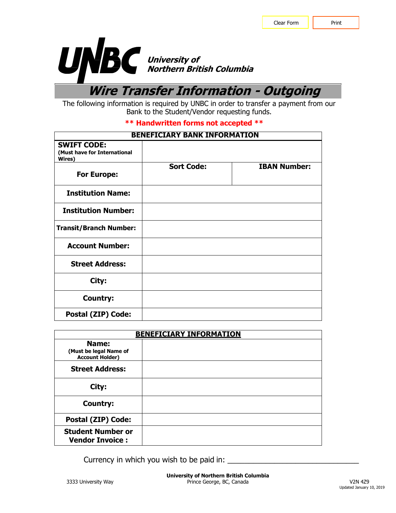

**Wire Transfer Information - Outgoing**

The following information is required by UNBC in order to transfer a payment from our Bank to the Student/Vendor requesting funds.

## **\*\* Handwritten forms not accepted \*\***

| <b>BENEFICIARY BANK INFORMATION</b>                          |                   |                     |
|--------------------------------------------------------------|-------------------|---------------------|
| <b>SWIFT CODE:</b><br>(Must have for International<br>Wires) |                   |                     |
| <b>For Europe:</b>                                           | <b>Sort Code:</b> | <b>IBAN Number:</b> |
| <b>Institution Name:</b>                                     |                   |                     |
| <b>Institution Number:</b>                                   |                   |                     |
| <b>Transit/Branch Number:</b>                                |                   |                     |
| <b>Account Number:</b>                                       |                   |                     |
| <b>Street Address:</b>                                       |                   |                     |
| City:                                                        |                   |                     |
| <b>Country:</b>                                              |                   |                     |
| Postal (ZIP) Code:                                           |                   |                     |

| <b>BENEFICIARY INFORMATION</b>                     |  |  |
|----------------------------------------------------|--|--|
| Name:                                              |  |  |
| (Must be legal Name of<br><b>Account Holder)</b>   |  |  |
| <b>Street Address:</b>                             |  |  |
| City:                                              |  |  |
| <b>Country:</b>                                    |  |  |
| Postal (ZIP) Code:                                 |  |  |
| <b>Student Number or</b><br><b>Vendor Invoice:</b> |  |  |

Currency in which you wish to be paid in: